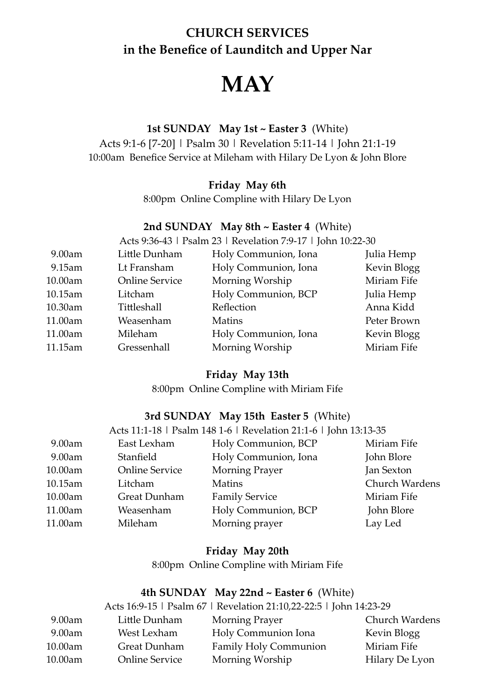# **CHURCH SERVICES in the Benefice of Launditch and Upper Nar**

# **MAY**

# **1st SUNDAY May 1st ~ Easter 3** (White)

Acts 9:1-6 [7-20] | Psalm 30 | Revelation 5:11-14 | John 21:1-19 10:00am Benefice Service at Mileham with Hilary De Lyon & John Blore

#### **Friday May 6th**

8:00pm Online Compline with Hilary De Lyon

#### **2nd SUNDAY May 8th ~ Easter 4** (White)

Acts 9:36-43 | Psalm 23 | Revelation 7:9-17 | John 10:22-30

| 9.00am  | Little Dunham         | Holy Communion, Iona | Julia Hemp  |
|---------|-----------------------|----------------------|-------------|
| 9.15am  | Lt Fransham           | Holy Communion, Iona | Kevin Blogg |
| 10.00am | <b>Online Service</b> | Morning Worship      | Miriam Fife |
| 10.15am | Litcham               | Holy Communion, BCP  | Julia Hemp  |
| 10.30am | Tittleshall           | Reflection           | Anna Kidd   |
| 11.00am | Weasenham             | <b>Matins</b>        | Peter Brown |
| 11.00am | Mileham               | Holy Communion, Iona | Kevin Blogg |
| 11.15am | Gressenhall           | Morning Worship      | Miriam Fife |

#### **Friday May 13th**

8:00pm Online Compline with Miriam Fife

### **3rd SUNDAY May 15th Easter 5** (White)

|         |                       | Acts 11:1-18   Psalm 148 1-6   Revelation 21:1-6   John 13:13-35 |                |
|---------|-----------------------|------------------------------------------------------------------|----------------|
| 9.00am  | East Lexham           | Holy Communion, BCP                                              | Miriam Fife    |
| 9.00am  | Stanfield             | Holy Communion, Iona                                             | John Blore     |
| 10.00am | <b>Online Service</b> | <b>Morning Prayer</b>                                            | Jan Sexton     |
| 10.15am | Litcham               | Matins                                                           | Church Wardens |
| 10.00am | <b>Great Dunham</b>   | <b>Family Service</b>                                            | Miriam Fife    |
| 11.00am | Weasenham             | Holy Communion, BCP                                              | John Blore     |
| 11.00am | Mileham               | Morning prayer                                                   | Lay Led        |
|         |                       |                                                                  |                |

#### **Friday May 20th**

8:00pm Online Compline with Miriam Fife

# **4th SUNDAY May 22nd ~ Easter 6** (White)

|         |                       | Acts 16:9-15   Psalm 67   Revelation 21:10,22-22:5   John 14:23-29 |                |
|---------|-----------------------|--------------------------------------------------------------------|----------------|
| 9.00am  | Little Dunham         | Morning Prayer                                                     | Church Wardens |
| 9.00am  | West Lexham           | Holy Communion Iona                                                | Kevin Blogg    |
| 10.00am | <b>Great Dunham</b>   | Family Holy Communion                                              | Miriam Fife    |
| 10.00am | <b>Online Service</b> | Morning Worship                                                    | Hilary De Lyon |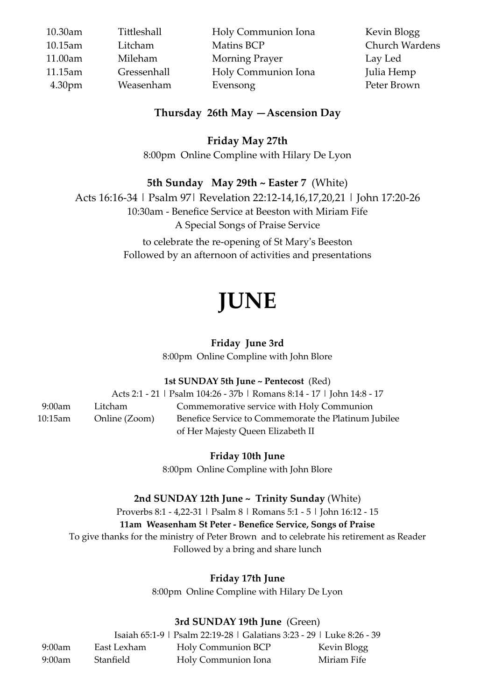| 10.30am            | Tittleshall | Holy Communion Iona | Kevin Blogg           |
|--------------------|-------------|---------------------|-----------------------|
| 10.15am            | Litcham     | Matins BCP          | <b>Church Wardens</b> |
| 11.00am            | Mileham     | Morning Prayer      | Lay Led               |
| 11.15am            | Gressenhall | Holy Communion Iona | Julia Hemp            |
| 4.30 <sub>pm</sub> | Weasenham   | Evensong            | Peter Brown           |

# **Thursday 26th May —Ascension Day**

**Friday May 27th**

8:00pm Online Compline with Hilary De Lyon

# **5th Sunday May 29th ~ Easter 7** (White)

Acts 16:16-34 | Psalm 97| Revelation 22:12-14,16,17,20,21 | John 17:20-26 10:30am - Benefice Service at Beeston with Miriam Fife A Special Songs of Praise Service

> to celebrate the re-opening of St Mary's Beeston Followed by an afternoon of activities and presentations

# **JUNE**

# **Friday June 3rd**

8:00pm Online Compline with John Blore

**1st SUNDAY 5th June ~ Pentecost** (Red)

Acts 2:1 - 21 | Psalm 104:26 - 37b | Romans 8:14 - 17 | John 14:8 - 17 9:00am Litcham Commemorative service with Holy Communion 10:15am Online (Zoom) Benefice Service to Commemorate the Platinum Jubilee of Her Majesty Queen Elizabeth II

**Friday 10th June** 

8:00pm Online Compline with John Blore

# **2nd SUNDAY 12th June ~ Trinity Sunday** (White)

Proverbs 8:1 - 4,22-31 | Psalm 8 | Romans 5:1 - 5 | John 16:12 - 15 **11am Weasenham St Peter - Benefice Service, Songs of Praise** To give thanks for the ministry of Peter Brown and to celebrate his retirement as Reader Followed by a bring and share lunch

# **Friday 17th June**

8:00pm Online Compline with Hilary De Lyon

# **3rd SUNDAY 19th June** (Green)

Isaiah 65:1-9 | Psalm 22:19-28 | Galatians 3:23 - 29 | Luke 8:26 - 39 9:00am East Lexham Holy Communion BCP Kevin Blogg 9:00am Stanfield Holy Communion Iona Miriam Fife